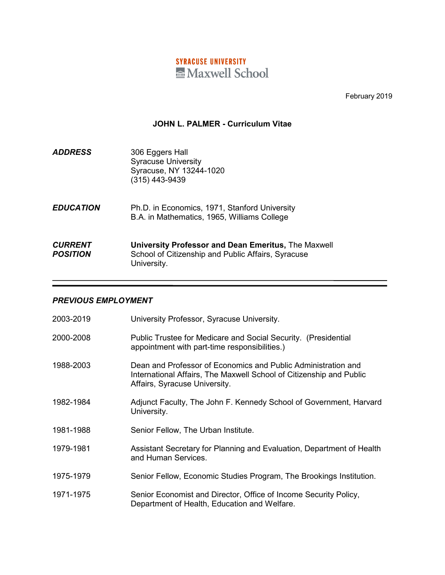# **SYRACUSE UNIVERSITY** Maxwell School

February 2019

#### **JOHN L. PALMER - Curriculum Vitae**

| <b>ADDRESS</b> | 306 Eggers Hall            |
|----------------|----------------------------|
|                | <b>Syracuse University</b> |
|                | Syracuse, NY 13244-1020    |
|                | $(315)$ 443-9439           |

*EDUCATION* Ph.D. in Economics, 1971, Stanford University B.A. in Mathematics, 1965, Williams College

# *CURRENT* **University Professor and Dean Emeritus,** The Maxwell **School of Citizenship and Public Affairs, Syracuse** University.

#### *PREVIOUS EMPLOYMENT*

| 2003-2019 | University Professor, Syracuse University.                                                                                                                            |
|-----------|-----------------------------------------------------------------------------------------------------------------------------------------------------------------------|
| 2000-2008 | Public Trustee for Medicare and Social Security. (Presidential<br>appointment with part-time responsibilities.)                                                       |
| 1988-2003 | Dean and Professor of Economics and Public Administration and<br>International Affairs, The Maxwell School of Citizenship and Public<br>Affairs, Syracuse University. |
| 1982-1984 | Adjunct Faculty, The John F. Kennedy School of Government, Harvard<br>University.                                                                                     |
| 1981-1988 | Senior Fellow, The Urban Institute.                                                                                                                                   |
| 1979-1981 | Assistant Secretary for Planning and Evaluation, Department of Health<br>and Human Services.                                                                          |
| 1975-1979 | Senior Fellow, Economic Studies Program, The Brookings Institution.                                                                                                   |
| 1971-1975 | Senior Economist and Director, Office of Income Security Policy,<br>Department of Health, Education and Welfare.                                                      |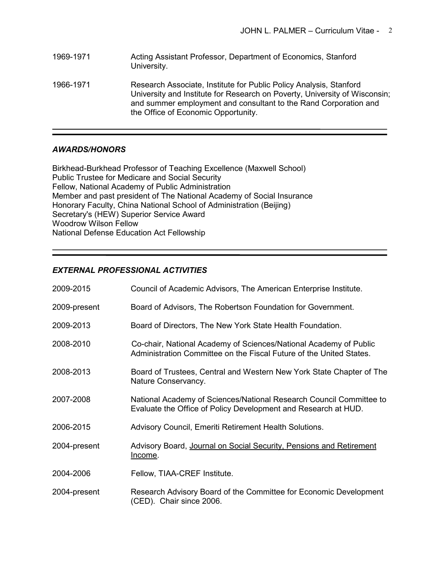1969-1971 Acting Assistant Professor, Department of Economics, Stanford University. 1966-1971 Research Associate, Institute for Public Policy Analysis, Stanford University and Institute for Research on Poverty, University of Wisconsin; and summer employment and consultant to the Rand Corporation and the Office of Economic Opportunity.

### *AWARDS/HONORS*

Birkhead-Burkhead Professor of Teaching Excellence (Maxwell School) Public Trustee for Medicare and Social Security Fellow, National Academy of Public Administration Member and past president of The National Academy of Social Insurance Honorary Faculty, China National School of Administration (Beijing) Secretary's (HEW) Superior Service Award Woodrow Wilson Fellow National Defense Education Act Fellowship

# *EXTERNAL PROFESSIONAL ACTIVITIES*

| 2009-2015    | Council of Academic Advisors, The American Enterprise Institute.                                                                         |
|--------------|------------------------------------------------------------------------------------------------------------------------------------------|
| 2009-present | Board of Advisors, The Robertson Foundation for Government.                                                                              |
| 2009-2013    | Board of Directors, The New York State Health Foundation.                                                                                |
| 2008-2010    | Co-chair, National Academy of Sciences/National Academy of Public<br>Administration Committee on the Fiscal Future of the United States. |
| 2008-2013    | Board of Trustees, Central and Western New York State Chapter of The<br>Nature Conservancy.                                              |
| 2007-2008    | National Academy of Sciences/National Research Council Committee to<br>Evaluate the Office of Policy Development and Research at HUD.    |
| 2006-2015    | Advisory Council, Emeriti Retirement Health Solutions.                                                                                   |
| 2004-present | Advisory Board, Journal on Social Security, Pensions and Retirement<br><u>Income</u> .                                                   |
| 2004-2006    | Fellow, TIAA-CREF Institute.                                                                                                             |
| 2004-present | Research Advisory Board of the Committee for Economic Development<br>(CED). Chair since 2006.                                            |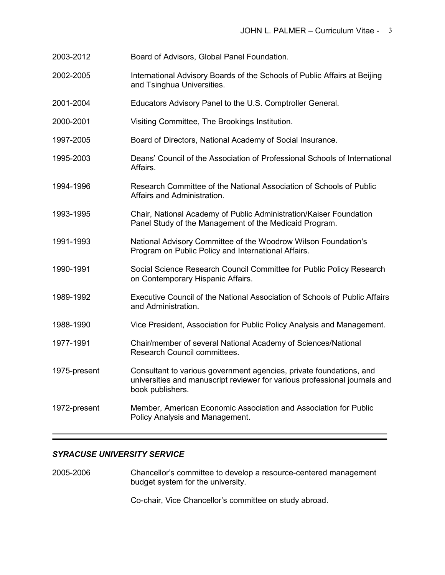- 2003-2012 Board of Advisors, Global Panel Foundation.
- 2002-2005 International Advisory Boards of the Schools of Public Affairs at Beijing and Tsinghua Universities.
- 2001-2004 Educators Advisory Panel to the U.S. Comptroller General.
- 2000-2001 Visiting Committee, The Brookings Institution.
- 1997-2005 Board of Directors, National Academy of Social Insurance.
- 1995-2003 Deans' Council of the Association of Professional Schools of International Affairs.
- 1994-1996 Research Committee of the National Association of Schools of Public Affairs and Administration.
- 1993-1995 Chair, National Academy of Public Administration/Kaiser Foundation Panel Study of the Management of the Medicaid Program.
- 1991-1993 National Advisory Committee of the Woodrow Wilson Foundation's Program on Public Policy and International Affairs.
- 1990-1991 Social Science Research Council Committee for Public Policy Research on Contemporary Hispanic Affairs.
- 1989-1992 Executive Council of the National Association of Schools of Public Affairs and Administration.
- 1988-1990 Vice President, Association for Public Policy Analysis and Management.
- 1977-1991 Chair/member of several National Academy of Sciences/National Research Council committees.
- 1975-present Consultant to various government agencies, private foundations, and universities and manuscript reviewer for various professional journals and book publishers.
- 1972-present Member, American Economic Association and Association for Public Policy Analysis and Management.

#### *SYRACUSE UNIVERSITY SERVICE*

2005-2006 Chancellor's committee to develop a resource-centered management budget system for the university.

Co-chair, Vice Chancellor's committee on study abroad.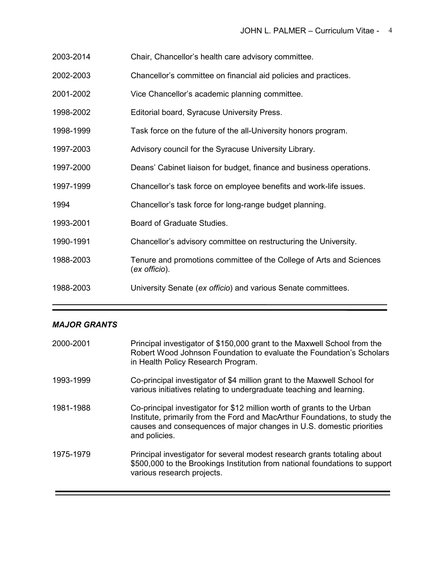- 2003-2014 Chair, Chancellor's health care advisory committee.
- 2002-2003 Chancellor's committee on financial aid policies and practices.
- 2001-2002 Vice Chancellor's academic planning committee.
- 1998-2002 Editorial board, Syracuse University Press.
- 1998-1999 Task force on the future of the all-University honors program.
- 1997-2003 Advisory council for the Syracuse University Library.
- 1997-2000 Deans' Cabinet liaison for budget, finance and business operations.
- 1997-1999 Chancellor's task force on employee benefits and work-life issues.
- 1994 Chancellor's task force for long-range budget planning.
- 1993-2001 Board of Graduate Studies.
- 1990-1991 Chancellor's advisory committee on restructuring the University.
- 1988-2003 Tenure and promotions committee of the College of Arts and Sciences (*ex officio*).
- 1988-2003 University Senate (*ex officio*) and various Senate committees.

### *MAJOR GRANTS*

| 2000-2001 | Principal investigator of \$150,000 grant to the Maxwell School from the<br>Robert Wood Johnson Foundation to evaluate the Foundation's Scholars<br>in Health Policy Research Program.                                                         |
|-----------|------------------------------------------------------------------------------------------------------------------------------------------------------------------------------------------------------------------------------------------------|
| 1993-1999 | Co-principal investigator of \$4 million grant to the Maxwell School for<br>various initiatives relating to undergraduate teaching and learning.                                                                                               |
| 1981-1988 | Co-principal investigator for \$12 million worth of grants to the Urban<br>Institute, primarily from the Ford and MacArthur Foundations, to study the<br>causes and consequences of major changes in U.S. domestic priorities<br>and policies. |
| 1975-1979 | Principal investigator for several modest research grants totaling about<br>\$500,000 to the Brookings Institution from national foundations to support<br>various research projects.                                                          |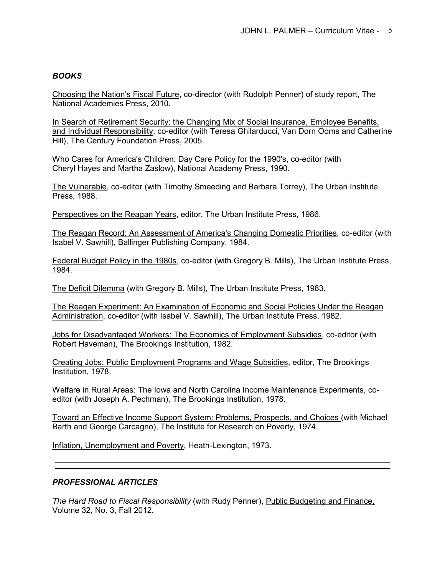# *BOOKS*

Choosing the Nation's Fiscal Future, co-director (with Rudolph Penner) of study report, The National Academies Press, 2010.

In Search of Retirement Security: the Changing Mix of Social Insurance, Employee Benefits, and Individual Responsibility, co-editor (with Teresa Ghilarducci, Van Dorn Ooms and Catherine Hill), The Century Foundation Press, 2005.

Who Cares for America's Children: Day Care Policy for the 1990's, co-editor (with Cheryl Hayes and Martha Zaslow), National Academy Press, 1990.

The Vulnerable, co-editor (with Timothy Smeeding and Barbara Torrey), The Urban Institute Press, 1988.

Perspectives on the Reagan Years, editor, The Urban Institute Press, 1986.

The Reagan Record: An Assessment of America's Changing Domestic Priorities, co-editor (with Isabel V. Sawhill), Ballinger Publishing Company, 1984.

Federal Budget Policy in the 1980s, co-editor (with Gregory B. Mills), The Urban Institute Press, 1984.

The Deficit Dilemma (with Gregory B. Mills), The Urban Institute Press, 1983.

The Reagan Experiment: An Examination of Economic and Social Policies Under the Reagan Administration, co-editor (with Isabel V. Sawhill), The Urban Institute Press, 1982.

Jobs for Disadvantaged Workers: The Economics of Employment Subsidies, co-editor (with Robert Haveman), The Brookings Institution, 1982.

Creating Jobs: Public Employment Programs and Wage Subsidies, editor, The Brookings Institution, 1978.

Welfare in Rural Areas: The Iowa and North Carolina Income Maintenance Experiments, coeditor (with Joseph A. Pechman), The Brookings Institution, 1978.

Toward an Effective Income Support System: Problems, Prospects, and Choices (with Michael Barth and George Carcagno), The Institute for Research on Poverty, 1974.

Inflation, Unemployment and Poverty, Heath-Lexington, 1973.

### *PROFESSIONAL ARTICLES*

*The Hard Road to Fiscal Responsibility* (with Rudy Penner), Public Budgeting and Finance, Volume 32, No. 3, Fall 2012.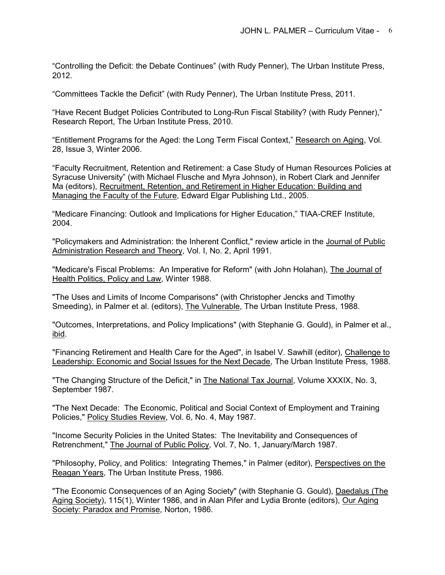"Controlling the Deficit: the Debate Continues" (with Rudy Penner), The Urban Institute Press, 2012.

"Committees Tackle the Deficit" (with Rudy Penner), The Urban Institute Press, 2011.

"Have Recent Budget Policies Contributed to Long-Run Fiscal Stability? (with Rudy Penner)," Research Report, The Urban Institute Press, 2010.

"Entitlement Programs for the Aged: the Long Term Fiscal Context," Research on Aging, Vol. 28, Issue 3, Winter 2006.

"Faculty Recruitment, Retention and Retirement: a Case Study of Human Resources Policies at Syracuse University" (with Michael Flusche and Myra Johnson), in Robert Clark and Jennifer Ma (editors), Recruitment, Retention, and Retirement in Higher Education: Building and Managing the Faculty of the Future, Edward Elgar Publishing Ltd., 2005.

"Medicare Financing: Outlook and Implications for Higher Education," TIAA-CREF Institute, 2004.

"Policymakers and Administration: the Inherent Conflict," review article in the Journal of Public Administration Research and Theory, Vol. I, No. 2, April 1991.

"Medicare's Fiscal Problems: An Imperative for Reform" (with John Holahan), The Journal of Health Politics, Policy and Law, Winter 1988.

"The Uses and Limits of Income Comparisons" (with Christopher Jencks and Timothy Smeeding), in Palmer et al. (editors), The Vulnerable, The Urban Institute Press, 1988.

"Outcomes, Interpretations, and Policy Implications" (with Stephanie G. Gould), in Palmer et al., ibid.

"Financing Retirement and Health Care for the Aged", in Isabel V. Sawhill (editor), Challenge to Leadership: Economic and Social Issues for the Next Decade, The Urban Institute Press, 1988.

"The Changing Structure of the Deficit," in The National Tax Journal, Volume XXXIX, No. 3, September 1987.

"The Next Decade: The Economic, Political and Social Context of Employment and Training Policies," Policy Studies Review, Vol. 6, No. 4, May 1987.

"Income Security Policies in the United States: The Inevitability and Consequences of Retrenchment," The Journal of Public Policy, Vol. 7, No. 1, January/March 1987.

"Philosophy, Policy, and Politics: Integrating Themes," in Palmer (editor), Perspectives on the Reagan Years, The Urban Institute Press, 1986.

"The Economic Consequences of an Aging Society" (with Stephanie G. Gould), Daedalus (The Aging Society), 115(1), Winter 1986, and in Alan Pifer and Lydia Bronte (editors), Our Aging Society: Paradox and Promise, Norton, 1986.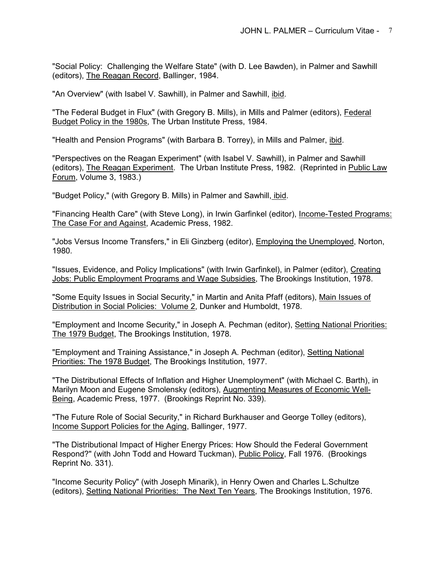"Social Policy: Challenging the Welfare State" (with D. Lee Bawden), in Palmer and Sawhill (editors), The Reagan Record, Ballinger, 1984.

"An Overview" (with Isabel V. Sawhill), in Palmer and Sawhill, ibid.

"The Federal Budget in Flux" (with Gregory B. Mills), in Mills and Palmer (editors), Federal Budget Policy in the 1980s, The Urban Institute Press, 1984.

"Health and Pension Programs" (with Barbara B. Torrey), in Mills and Palmer, ibid.

"Perspectives on the Reagan Experiment" (with Isabel V. Sawhill), in Palmer and Sawhill (editors), The Reagan Experiment. The Urban Institute Press, 1982. (Reprinted in Public Law Forum, Volume 3, 1983.)

"Budget Policy," (with Gregory B. Mills) in Palmer and Sawhill, *ibid.* 

"Financing Health Care" (with Steve Long), in Irwin Garfinkel (editor), Income-Tested Programs: The Case For and Against, Academic Press, 1982.

"Jobs Versus Income Transfers," in Eli Ginzberg (editor), Employing the Unemployed, Norton, 1980.

"Issues, Evidence, and Policy Implications" (with Irwin Garfinkel), in Palmer (editor), Creating Jobs: Public Employment Programs and Wage Subsidies, The Brookings Institution, 1978.

"Some Equity Issues in Social Security," in Martin and Anita Pfaff (editors), Main Issues of Distribution in Social Policies: Volume 2, Dunker and Humboldt, 1978.

"Employment and Income Security," in Joseph A. Pechman (editor), Setting National Priorities: The 1979 Budget, The Brookings Institution, 1978.

"Employment and Training Assistance," in Joseph A. Pechman (editor), Setting National Priorities: The 1978 Budget, The Brookings Institution, 1977.

"The Distributional Effects of Inflation and Higher Unemployment" (with Michael C. Barth), in Marilyn Moon and Eugene Smolensky (editors), Augmenting Measures of Economic Well-Being, Academic Press, 1977. (Brookings Reprint No. 339).

"The Future Role of Social Security," in Richard Burkhauser and George Tolley (editors), Income Support Policies for the Aging, Ballinger, 1977.

"The Distributional Impact of Higher Energy Prices: How Should the Federal Government Respond?" (with John Todd and Howard Tuckman), Public Policy, Fall 1976. (Brookings Reprint No. 331).

"Income Security Policy" (with Joseph Minarik), in Henry Owen and Charles L.Schultze (editors), Setting National Priorities: The Next Ten Years, The Brookings Institution, 1976.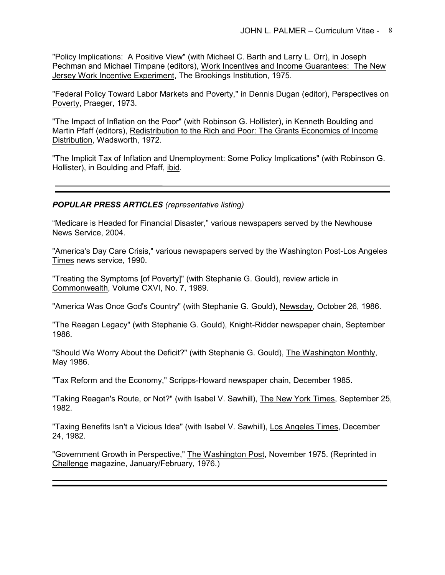"Policy Implications: A Positive View" (with Michael C. Barth and Larry L. Orr), in Joseph Pechman and Michael Timpane (editors), Work Incentives and Income Guarantees: The New Jersey Work Incentive Experiment, The Brookings Institution, 1975.

"Federal Policy Toward Labor Markets and Poverty," in Dennis Dugan (editor), Perspectives on Poverty, Praeger, 1973.

"The Impact of Inflation on the Poor" (with Robinson G. Hollister), in Kenneth Boulding and Martin Pfaff (editors), Redistribution to the Rich and Poor: The Grants Economics of Income Distribution, Wadsworth, 1972.

"The Implicit Tax of Inflation and Unemployment: Some Policy Implications" (with Robinson G. Hollister), in Boulding and Pfaff, ibid.

## *POPULAR PRESS ARTICLES (representative listing)*

"Medicare is Headed for Financial Disaster," various newspapers served by the Newhouse News Service, 2004.

"America's Day Care Crisis," various newspapers served by the Washington Post-Los Angeles Times news service, 1990.

"Treating the Symptoms [of Poverty]" (with Stephanie G. Gould), review article in Commonwealth, Volume CXVI, No. 7, 1989.

"America Was Once God's Country" (with Stephanie G. Gould), Newsday, October 26, 1986.

"The Reagan Legacy" (with Stephanie G. Gould), Knight-Ridder newspaper chain, September 1986.

"Should We Worry About the Deficit?" (with Stephanie G. Gould), The Washington Monthly, May 1986.

"Tax Reform and the Economy," Scripps-Howard newspaper chain, December 1985.

"Taking Reagan's Route, or Not?" (with Isabel V. Sawhill), The New York Times, September 25, 1982.

"Taxing Benefits Isn't a Vicious Idea" (with Isabel V. Sawhill), Los Angeles Times, December 24, 1982.

"Government Growth in Perspective," The Washington Post, November 1975. (Reprinted in Challenge magazine, January/February, 1976.)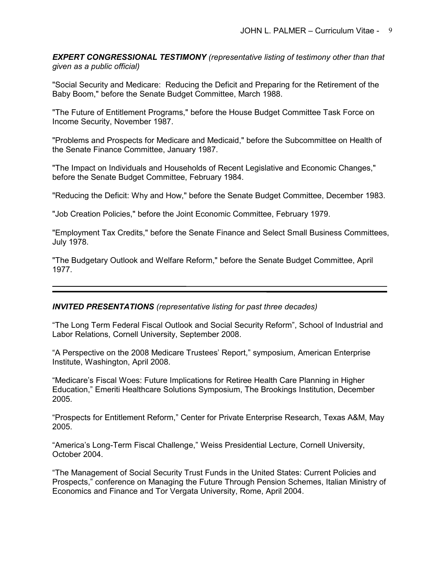*EXPERT CONGRESSIONAL TESTIMONY (representative listing of testimony other than that given as a public official)*

"Social Security and Medicare: Reducing the Deficit and Preparing for the Retirement of the Baby Boom," before the Senate Budget Committee, March 1988.

"The Future of Entitlement Programs," before the House Budget Committee Task Force on Income Security, November 1987.

"Problems and Prospects for Medicare and Medicaid," before the Subcommittee on Health of the Senate Finance Committee, January 1987.

"The Impact on Individuals and Households of Recent Legislative and Economic Changes," before the Senate Budget Committee, February 1984.

"Reducing the Deficit: Why and How," before the Senate Budget Committee, December 1983.

"Job Creation Policies," before the Joint Economic Committee, February 1979.

"Employment Tax Credits," before the Senate Finance and Select Small Business Committees, July 1978.

"The Budgetary Outlook and Welfare Reform," before the Senate Budget Committee, April 1977.

### *INVITED PRESENTATIONS (representative listing for past three decades)*

"The Long Term Federal Fiscal Outlook and Social Security Reform", School of Industrial and Labor Relations, Cornell University, September 2008.

"A Perspective on the 2008 Medicare Trustees' Report," symposium, American Enterprise Institute, Washington, April 2008.

"Medicare's Fiscal Woes: Future Implications for Retiree Health Care Planning in Higher Education," Emeriti Healthcare Solutions Symposium, The Brookings Institution, December 2005.

"Prospects for Entitlement Reform," Center for Private Enterprise Research, Texas A&M, May 2005.

"America's Long-Term Fiscal Challenge," Weiss Presidential Lecture, Cornell University, October 2004.

"The Management of Social Security Trust Funds in the United States: Current Policies and Prospects," conference on Managing the Future Through Pension Schemes, Italian Ministry of Economics and Finance and Tor Vergata University, Rome, April 2004.